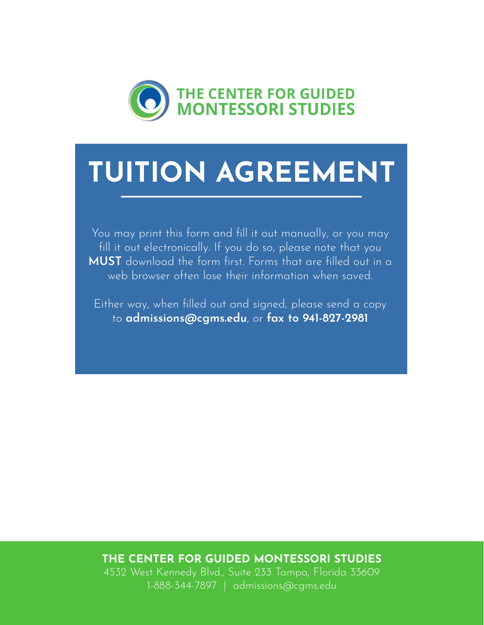

You may print this form and fill it out manually, or you may fill it out electronically. If you do so, please note that you MUST download the form first. Forms that are filled out in a web browser often lose their information when saved.

Either way, when filled out and signed, please send a copy to admissions@cgms.edu, or fax to 941-827-2981

### THE CENTER FOR GUIDED MONTESSORI STUDIES

4532 West Kennedy Blvd., Suite 233 Tampa, Florida 33609 1-888-344-7897 | admissions@cgms.edu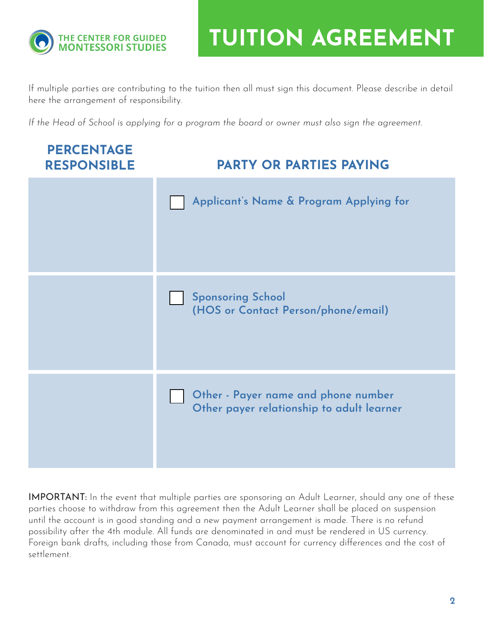

If multiple parties are contributing to the tuition then all must sign this document. Please describe in detail here the arrangement of responsibility.

*If the Head of School is applying for a program the board or owner must also sign the agreement.*



IMPORTANT: In the event that multiple parties are sponsoring an Adult Learner, should any one of these parties choose to withdraw from this agreement then the Adult Learner shall be placed on suspension until the account is in good standing and a new payment arrangement is made. There is no refund possibility after the 4th module. All funds are denominated in and must be rendered in US currency. Foreign bank drafts, including those from Canada, must account for currency differences and the cost of settlement.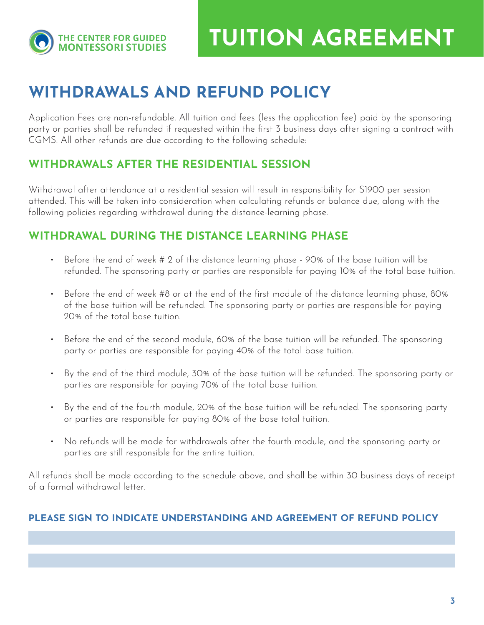

# WITHDRAWALS AND REFUND POLICY

Application Fees are non-refundable. All tuition and fees (less the application fee) paid by the sponsoring party or parties shall be refunded if requested within the first 3 business days after signing a contract with CGMS. All other refunds are due according to the following schedule:

## WITHDRAWALS AFTER THE RESIDENTIAL SESSION

Withdrawal after attendance at a residential session will result in responsibility for \$1900 per session attended. This will be taken into consideration when calculating refunds or balance due, along with the following policies regarding withdrawal during the distance-learning phase.

## WITHDRAWAL DURING THE DISTANCE LEARNING PHASE

- Before the end of week # 2 of the distance learning phase 90% of the base tuition will be refunded. The sponsoring party or parties are responsible for paying 10% of the total base tuition.
- Before the end of week #8 or at the end of the first module of the distance learning phase, 80% of the base tuition will be refunded. The sponsoring party or parties are responsible for paying 20% of the total base tuition.
- Before the end of the second module, 60% of the base tuition will be refunded. The sponsoring party or parties are responsible for paying 40% of the total base tuition.
- By the end of the third module, 30% of the base tuition will be refunded. The sponsoring party or parties are responsible for paying 70% of the total base tuition.
- By the end of the fourth module, 20% of the base tuition will be refunded. The sponsoring party or parties are responsible for paying 80% of the base total tuition.
- No refunds will be made for withdrawals after the fourth module, and the sponsoring party or parties are still responsible for the entire tuition.

All refunds shall be made according to the schedule above, and shall be within 30 business days of receipt of a formal withdrawal letter.

#### PLEASE SIGN TO INDICATE UNDERSTANDING AND AGREEMENT OF REFUND POLICY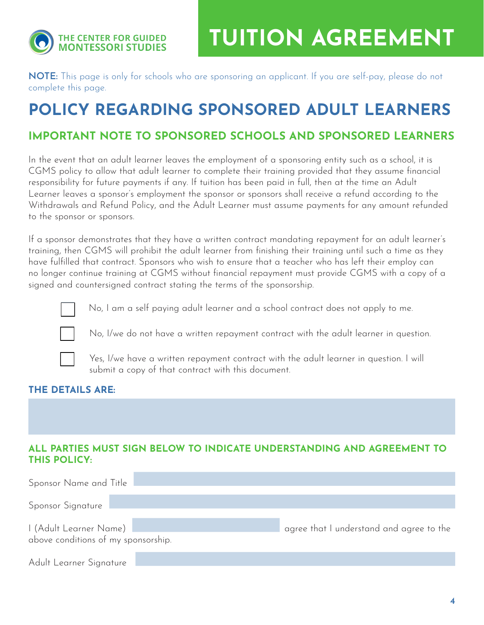

NOTE: This page is only for schools who are sponsoring an applicant. If you are self-pay, please do not complete this page.

# POLICY REGARDING SPONSORED ADULT LEARNERS

## IMPORTANT NOTE TO SPONSORED SCHOOLS AND SPONSORED LEARNERS

In the event that an adult learner leaves the employment of a sponsoring entity such as a school, it is CGMS policy to allow that adult learner to complete their training provided that they assume financial responsibility for future payments if any. If tuition has been paid in full, then at the time an Adult Learner leaves a sponsor's employment the sponsor or sponsors shall receive a refund according to the Withdrawals and Refund Policy, and the Adult Learner must assume payments for any amount refunded to the sponsor or sponsors.

If a sponsor demonstrates that they have a written contract mandating repayment for an adult learner's training, then CGMS will prohibit the adult learner from finishing their training until such a time as they have fulfilled that contract. Sponsors who wish to ensure that a teacher who has left their employ can no longer continue training at CGMS without financial repayment must provide CGMS with a copy of a signed and countersigned contract stating the terms of the sponsorship.



No, I am a self paying adult learner and a school contract does not apply to me.



No, I/we do not have a written repayment contract with the adult learner in question.



Yes, I/we have a written repayment contract with the adult learner in question. I will submit a copy of that contract with this document.

#### THE DETAILS ARE:

#### ALL PARTIES MUST SIGN BELOW TO INDICATE UNDERSTANDING AND AGREEMENT TO THIS POLICY:

| Sponsor Name and Title                                        |                                          |
|---------------------------------------------------------------|------------------------------------------|
| Sponsor Signature                                             |                                          |
| I (Adult Learner Name)<br>above conditions of my sponsorship. | agree that I understand and agree to the |
| Adult Learner Signature                                       |                                          |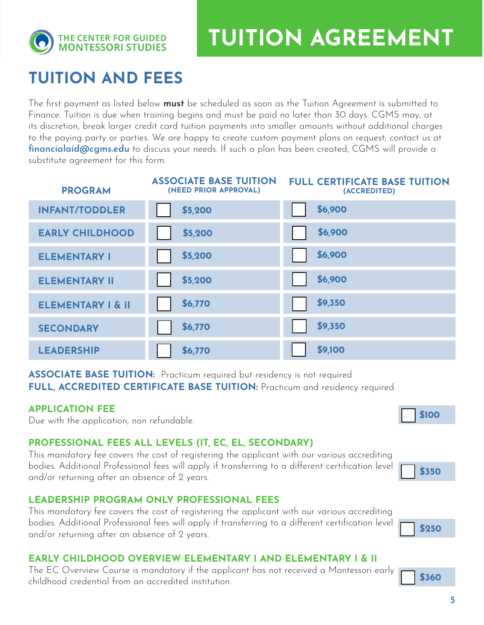

# TUITION AND FEES

The first payment as listed below **must** be scheduled as soon as the Tuition Agreement is submitted to Finance. Tuition is due when training begins and must be paid no later than 30 days. CGMS may, at its discretion, break larger credit card tuition payments into smaller amounts without additional charges to the paying party or parties. We are happy to create custom payment plans on request; contact us at financialaid@cgms.edu to discuss your needs. If such a plan has been created, CGMS will provide a substitute agreement for this form.

| <b>PROGRAM</b>               | <b>ASSOCIATE BASE TUITION</b><br>(NEED PRIOR APPROVAL) | <b>FULL CERTIFICATE BASE TUITION</b><br>(ACCREDITED) |
|------------------------------|--------------------------------------------------------|------------------------------------------------------|
| <b>INFANT/TODDLER</b>        | \$5,200                                                | \$6,900                                              |
| <b>EARLY CHILDHOOD</b>       | \$5,200                                                | \$6,900                                              |
| <b>ELEMENTARY I</b>          | \$5,200                                                | \$6,900                                              |
| <b>ELEMENTARY II</b>         | \$5,200                                                | \$6,900                                              |
| <b>ELEMENTARY I &amp; II</b> | \$6,770                                                | \$9,350                                              |
| <b>SECONDARY</b>             | \$6,770                                                | \$9,350                                              |
| <b>LEADERSHIP</b>            | \$6,770                                                | \$9,100                                              |

ASSOCIATE BASE TUITION: Practicum required but residency is not required FULL, ACCREDITED CERTIFICATE BASE TUITION: Practicum and residency required

#### APPLICATION FEE

Due with the application, non refundable.

#### PROFESSIONAL FEES ALL LEVELS (IT, EC, EL, SECONDARY)

This *mandatory* fee covers the cost of registering the applicant with our various accrediting bodies. Additional Professional fees will apply if transferring to a different certification level and/or returning after an absence of 2 years.

#### LEADERSHIP PROGRAM ONLY PROFESSIONAL FEES

This *mandatory* fee covers the cost of registering the applicant with our various accrediting bodies. Additional Professional fees will apply if transferring to a different certification level and/or returning after an absence of 2 years.

#### EARLY CHILDHOOD OVERVIEW ELEMENTARY I AND ELEMENTARY I & II

The EC Overview Course is mandatory if the applicant has not received a Montessori early childhood credential from an accredited institution.



\$360

\$350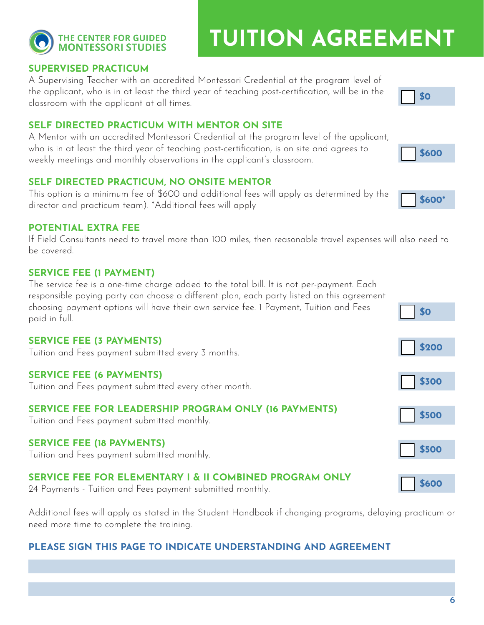### SUPERVISED PRACTICUM

**THE CENTER FOR GUIDED MONTESSORI STUDIES** 

A Supervising Teacher with an accredited Montessori Credential at the program level of the applicant, who is in at least the third year of teaching post-certification, will be in the classroom with the applicant at all times.

#### SELF DIRECTED PRACTICUM WITH MENTOR ON SITE

A Mentor with an accredited Montessori Credential at the program level of the applicant, who is in at least the third year of teaching post-certification, is on site and agrees to weekly meetings and monthly observations in the applicant's classroom.

#### SELF DIRECTED PRACTICUM, NO ONSITE MENTOR

This option is a minimum fee of \$600 and additional fees will apply as determined by the director and practicum team). \*Additional fees will apply

#### POTENTIAL EXTRA FEE

If Field Consultants need to travel more than 100 miles, then reasonable travel expenses will also need to be covered.

#### SERVICE FEE (1 PAYMENT)

The service fee is a one-time charge added to the total bill. It is not per-payment. Each responsible paying party can choose a different plan, each party listed on this agreement choosing payment options will have their own service fee. 1 Payment, Tuition and Fees paid in full.

#### SERVICE FEE (3 PAYMENTS)

Tuition and Fees payment submitted every 3 months.

#### SERVICE FEE (6 PAYMENTS)

Tuition and Fees payment submitted every other month.

#### SERVICE FEE FOR LEADERSHIP PROGRAM ONLY (16 PAYMENTS)

Tuition and Fees payment submitted monthly.

## SERVICE FEE (18 PAYMENTS)

Tuition and Fees payment submitted monthly.

## SERVICE FEE FOR ELEMENTARY I & II COMBINED PROGRAM ONLY

24 Payments - Tuition and Fees payment submitted monthly.

Additional fees will apply as stated in the Student Handbook if changing programs, delaying practicum or need more time to complete the training.

## PLEASE SIGN THIS PAGE TO INDICATE UNDERSTANDING AND AGREEMENT





\$600



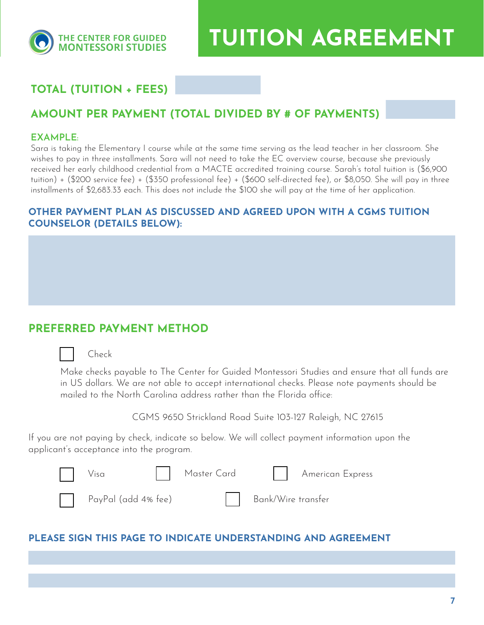

TUITION AGREEMENT WAS CITED FOR A STRUCTURE

# TOTAL (TUITION + FEES)

#### AMOUNT PER PAYMENT (TOTAL DIVIDED BY # OF PAYMENTS)

#### EXAMPLE:

Sara is taking the Elementary I course while at the same time serving as the lead teacher in her classroom. She wishes to pay in three installments. Sara will not need to take the EC overview course, because she previously received her early childhood credential from a MACTE accredited training course. Sarah's total tuition is (\$6,900 tuition) + (\$200 service fee) + (\$350 professional fee) + (\$600 self-directed fee), or \$8,050. She will pay in three installments of \$2,683.33 each. This does not include the \$100 she will pay at the time of her application.

#### OTHER PAYMENT PLAN AS DISCUSSED AND AGREED UPON WITH A CGMS TUITION COUNSELOR (DETAILS BELOW):

#### PREFERRED PAYMENT METHOD

#### Check

Make checks payable to The Center for Guided Montessori Studies and ensure that all funds are in US dollars. We are not able to accept international checks. Please note payments should be mailed to the North Carolina address rather than the Florida office:

CGMS 9650 Strickland Road Suite 103-127 Raleigh, NC 27615

If you are not paying by check, indicate so below. We will collect payment information upon the applicant's acceptance into the program.

| Visa                | Master Card     American Express |
|---------------------|----------------------------------|
| PayPal (add 4% fee) | Bank/Wire transfer               |

#### PLEASE SIGN THIS PAGE TO INDICATE UNDERSTANDING AND AGREEMENT